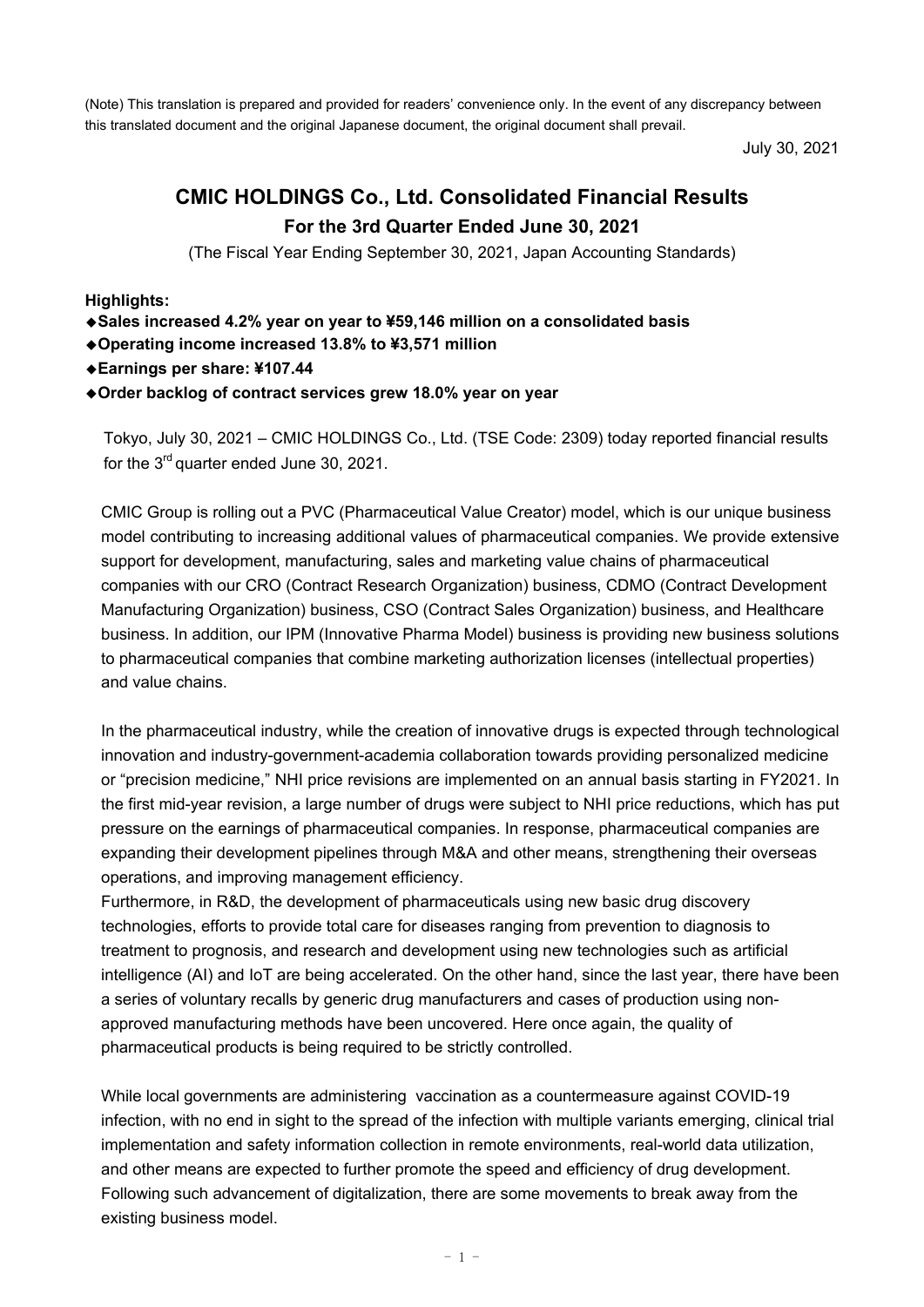(Note) This translation is prepared and provided for readers' convenience only. In the event of any discrepancy between this translated document and the original Japanese document, the original document shall prevail.

July 30, 2021

# **CMIC HOLDINGS Co., Ltd. Consolidated Financial Results For the 3rd Quarter Ended June 30, 2021**

(The Fiscal Year Ending September 30, 2021, Japan Accounting Standards)

**Highlights:**

- ◆**Sales increased 4.2% year on year to ¥59,146 million on a consolidated basis**
- ◆**Operating income increased 13.8% to ¥3,571 million**
- ◆**Earnings per share: ¥107.44**
- ◆**Order backlog of contract services grew 18.0% year on year**

Tokyo, July 30, 2021 – CMIC HOLDINGS Co., Ltd. (TSE Code: 2309) today reported financial results for the 3<sup>rd</sup> quarter ended June 30, 2021.

CMIC Group is rolling out a PVC (Pharmaceutical Value Creator) model, which is our unique business model contributing to increasing additional values of pharmaceutical companies. We provide extensive support for development, manufacturing, sales and marketing value chains of pharmaceutical companies with our CRO (Contract Research Organization) business, CDMO (Contract Development Manufacturing Organization) business, CSO (Contract Sales Organization) business, and Healthcare business. In addition, our IPM (Innovative Pharma Model) business is providing new business solutions to pharmaceutical companies that combine marketing authorization licenses (intellectual properties) and value chains.

In the pharmaceutical industry, while the creation of innovative drugs is expected through technological innovation and industry-government-academia collaboration towards providing personalized medicine or "precision medicine," NHI price revisions are implemented on an annual basis starting in FY2021. In the first mid-year revision, a large number of drugs were subject to NHI price reductions, which has put pressure on the earnings of pharmaceutical companies. In response, pharmaceutical companies are expanding their development pipelines through M&A and other means, strengthening their overseas operations, and improving management efficiency.

Furthermore, in R&D, the development of pharmaceuticals using new basic drug discovery technologies, efforts to provide total care for diseases ranging from prevention to diagnosis to treatment to prognosis, and research and development using new technologies such as artificial intelligence (AI) and IoT are being accelerated. On the other hand, since the last year, there have been a series of voluntary recalls by generic drug manufacturers and cases of production using nonapproved manufacturing methods have been uncovered. Here once again, the quality of pharmaceutical products is being required to be strictly controlled.

While local governments are administering vaccination as a countermeasure against COVID-19 infection, with no end in sight to the spread of the infection with multiple variants emerging, clinical trial implementation and safety information collection in remote environments, real-world data utilization, and other means are expected to further promote the speed and efficiency of drug development. Following such advancement of digitalization, there are some movements to break away from the existing business model.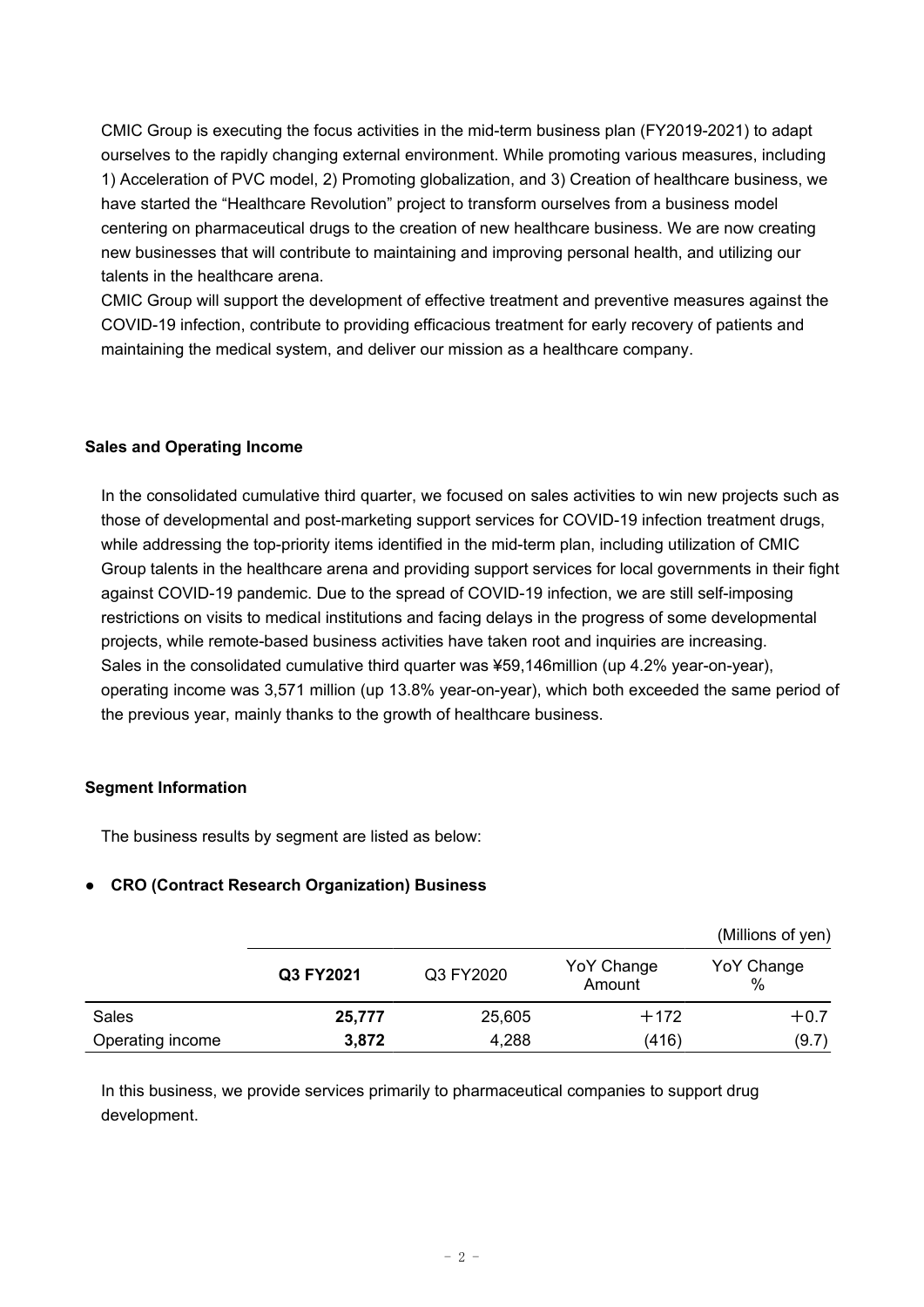CMIC Group is executing the focus activities in the mid-term business plan (FY2019-2021) to adapt ourselves to the rapidly changing external environment. While promoting various measures, including 1) Acceleration of PVC model, 2) Promoting globalization, and 3) Creation of healthcare business, we have started the "Healthcare Revolution" project to transform ourselves from a business model centering on pharmaceutical drugs to the creation of new healthcare business. We are now creating new businesses that will contribute to maintaining and improving personal health, and utilizing our talents in the healthcare arena.

CMIC Group will support the development of effective treatment and preventive measures against the COVID-19 infection, contribute to providing efficacious treatment for early recovery of patients and maintaining the medical system, and deliver our mission as a healthcare company.

### **Sales and Operating Income**

In the consolidated cumulative third quarter, we focused on sales activities to win new projects such as those of developmental and post-marketing support services for COVID-19 infection treatment drugs, while addressing the top-priority items identified in the mid-term plan, including utilization of CMIC Group talents in the healthcare arena and providing support services for local governments in their fight against COVID-19 pandemic. Due to the spread of COVID-19 infection, we are still self-imposing restrictions on visits to medical institutions and facing delays in the progress of some developmental projects, while remote-based business activities have taken root and inquiries are increasing. Sales in the consolidated cumulative third quarter was ¥59,146million (up 4.2% year-on-year), operating income was 3,571 million (up 13.8% year-on-year), which both exceeded the same period of the previous year, mainly thanks to the growth of healthcare business.

### **Segment Information**

The business results by segment are listed as below:

### **● CRO (Contract Research Organization) Business**

|                  |           |           |                      | (Millions of yen)  |
|------------------|-----------|-----------|----------------------|--------------------|
|                  | Q3 FY2021 | Q3 FY2020 | YoY Change<br>Amount | YoY Change<br>$\%$ |
| Sales            | 25,777    | 25,605    | $+172$               | $+0.7$             |
| Operating income | 3,872     | 4,288     | (416)                | (9.7)              |

In this business, we provide services primarily to pharmaceutical companies to support drug development.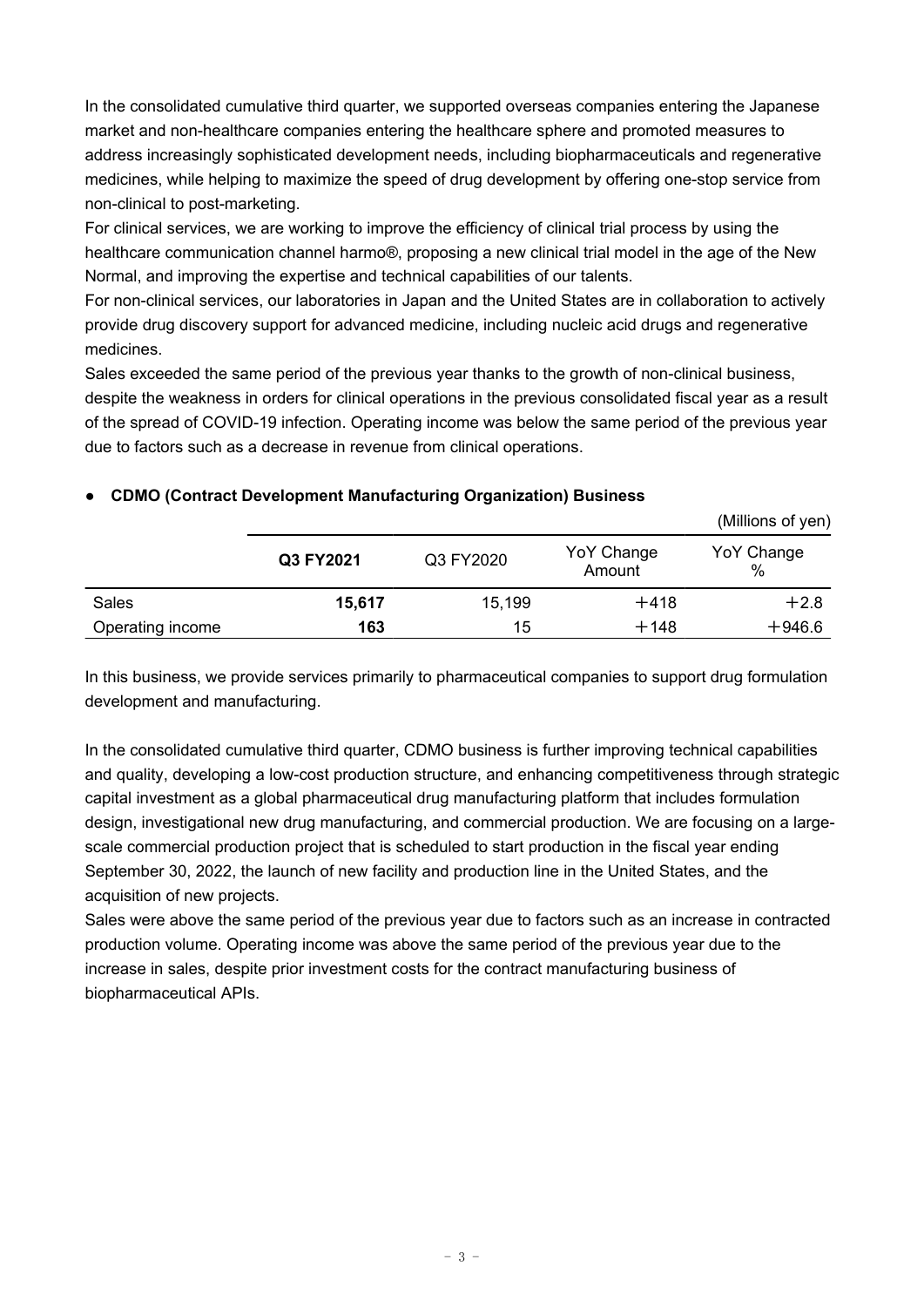In the consolidated cumulative third quarter, we supported overseas companies entering the Japanese market and non-healthcare companies entering the healthcare sphere and promoted measures to address increasingly sophisticated development needs, including biopharmaceuticals and regenerative medicines, while helping to maximize the speed of drug development by offering one-stop service from non-clinical to post-marketing.

For clinical services, we are working to improve the efficiency of clinical trial process by using the healthcare communication channel harmo®, proposing a new clinical trial model in the age of the New Normal, and improving the expertise and technical capabilities of our talents.

For non-clinical services, our laboratories in Japan and the United States are in collaboration to actively provide drug discovery support for advanced medicine, including nucleic acid drugs and regenerative medicines.

Sales exceeded the same period of the previous year thanks to the growth of non-clinical business, despite the weakness in orders for clinical operations in the previous consolidated fiscal year as a result of the spread of COVID-19 infection. Operating income was below the same period of the previous year due to factors such as a decrease in revenue from clinical operations.

|                  |           |           |                      | (Millions of yen)  |
|------------------|-----------|-----------|----------------------|--------------------|
|                  | Q3 FY2021 | Q3 FY2020 | YoY Change<br>Amount | YoY Change<br>$\%$ |
| Sales            | 15,617    | 15,199    | $+418$               | $+2.8$             |
| Operating income | 163       | 15        | $+148$               | $+946.6$           |

## **● CDMO (Contract Development Manufacturing Organization) Business**

In this business, we provide services primarily to pharmaceutical companies to support drug formulation development and manufacturing.

In the consolidated cumulative third quarter, CDMO business is further improving technical capabilities and quality, developing a low-cost production structure, and enhancing competitiveness through strategic capital investment as a global pharmaceutical drug manufacturing platform that includes formulation design, investigational new drug manufacturing, and commercial production. We are focusing on a largescale commercial production project that is scheduled to start production in the fiscal year ending September 30, 2022, the launch of new facility and production line in the United States, and the acquisition of new projects.

Sales were above the same period of the previous year due to factors such as an increase in contracted production volume. Operating income was above the same period of the previous year due to the increase in sales, despite prior investment costs for the contract manufacturing business of biopharmaceutical APIs.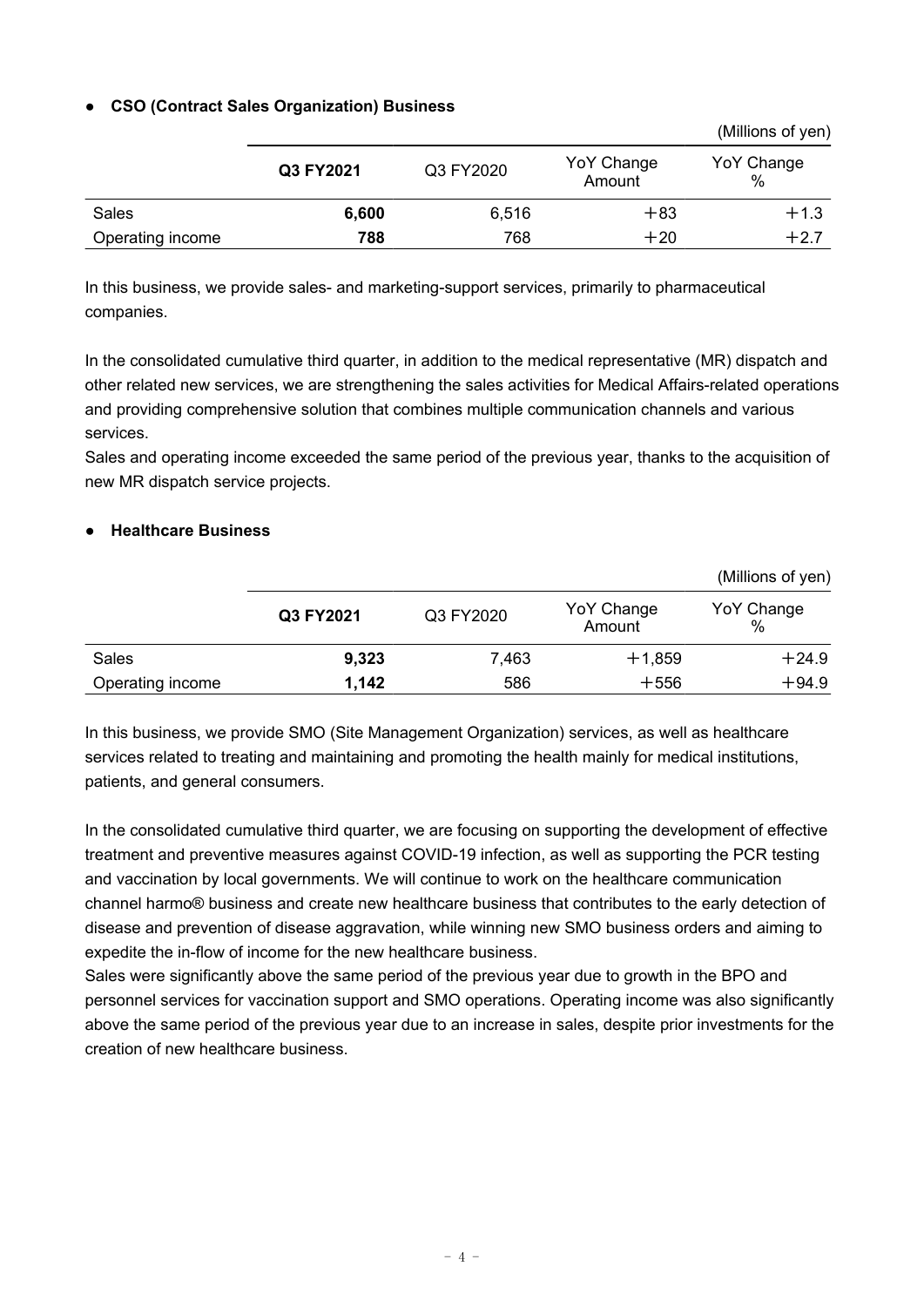## **● CSO (Contract Sales Organization) Business**

|                  |           |           |                      | (Millions of yen) |
|------------------|-----------|-----------|----------------------|-------------------|
|                  | Q3 FY2021 | Q3 FY2020 | YoY Change<br>Amount | YoY Change<br>%   |
| Sales            | 6,600     | 6,516     | $+83$                | $+1.3$            |
| Operating income | 788       | 768       | $+20$                | $+2.7$            |

In this business, we provide sales- and marketing-support services, primarily to pharmaceutical companies.

In the consolidated cumulative third quarter, in addition to the medical representative (MR) dispatch and other related new services, we are strengthening the sales activities for Medical Affairs-related operations and providing comprehensive solution that combines multiple communication channels and various services.

Sales and operating income exceeded the same period of the previous year, thanks to the acquisition of new MR dispatch service projects.

### **● Healthcare Business**

|                  |           |           |                      | (Millions of yen)  |
|------------------|-----------|-----------|----------------------|--------------------|
|                  | Q3 FY2021 | Q3 FY2020 | YoY Change<br>Amount | YoY Change<br>$\%$ |
| Sales            | 9,323     | 7,463     | $+1,859$             | $+24.9$            |
| Operating income | 1,142     | 586       | $+556$               | $+94.9$            |

In this business, we provide SMO (Site Management Organization) services, as well as healthcare services related to treating and maintaining and promoting the health mainly for medical institutions, patients, and general consumers.

In the consolidated cumulative third quarter, we are focusing on supporting the development of effective treatment and preventive measures against COVID-19 infection, as well as supporting the PCR testing and vaccination by local governments. We will continue to work on the healthcare communication channel harmo® business and create new healthcare business that contributes to the early detection of disease and prevention of disease aggravation, while winning new SMO business orders and aiming to expedite the in-flow of income for the new healthcare business.

Sales were significantly above the same period of the previous year due to growth in the BPO and personnel services for vaccination support and SMO operations. Operating income was also significantly above the same period of the previous year due to an increase in sales, despite prior investments for the creation of new healthcare business.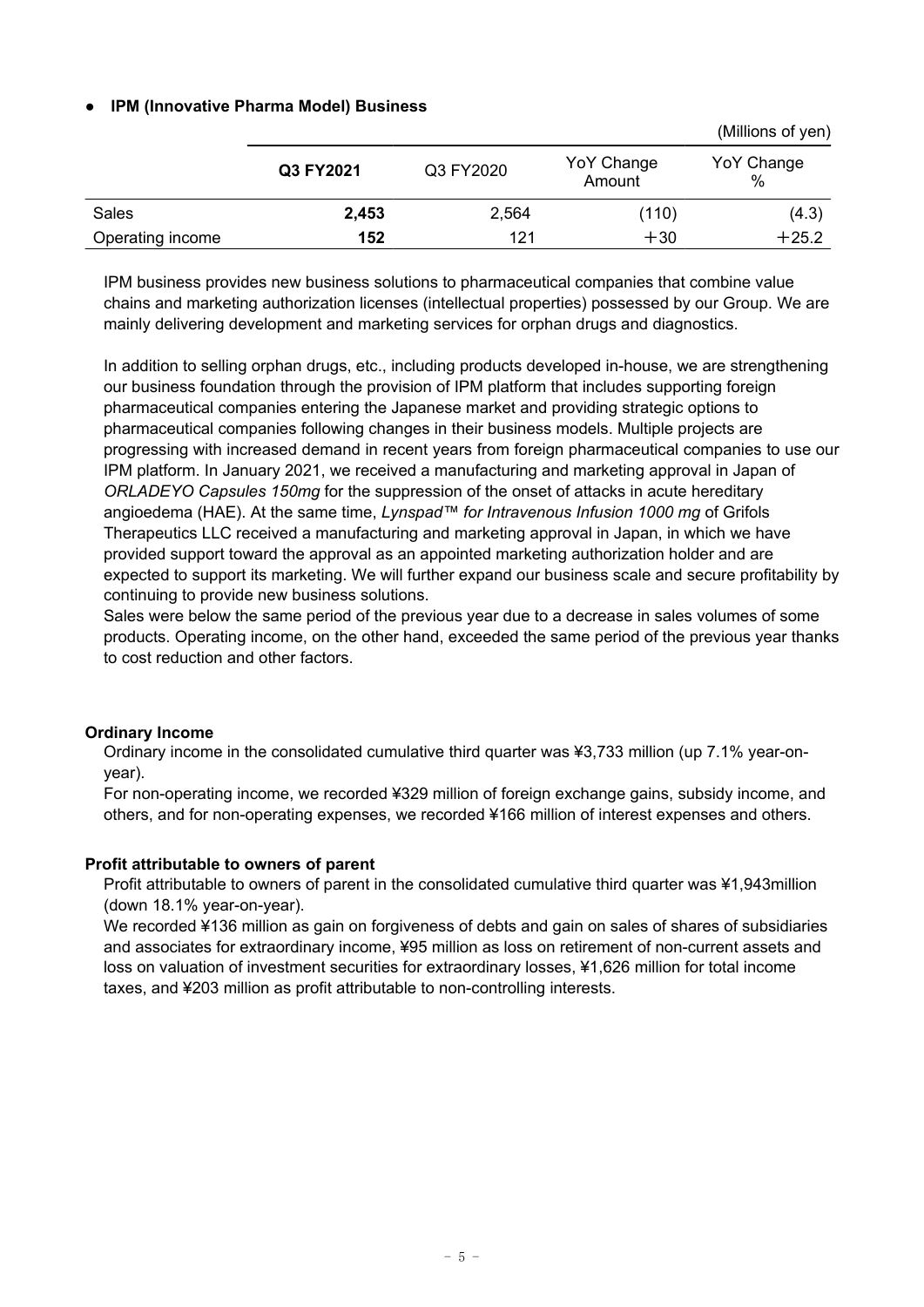### **● IPM (Innovative Pharma Model) Business**

|                  |           |           |                      | (Millions of yen)  |
|------------------|-----------|-----------|----------------------|--------------------|
|                  | Q3 FY2021 | Q3 FY2020 | YoY Change<br>Amount | YoY Change<br>$\%$ |
| Sales            | 2,453     | 2,564     | (110)                | (4.3)              |
| Operating income | 152       | 121       | $+30$                | $+25.2$            |

IPM business provides new business solutions to pharmaceutical companies that combine value chains and marketing authorization licenses (intellectual properties) possessed by our Group. We are mainly delivering development and marketing services for orphan drugs and diagnostics.

In addition to selling orphan drugs, etc., including products developed in-house, we are strengthening our business foundation through the provision of IPM platform that includes supporting foreign pharmaceutical companies entering the Japanese market and providing strategic options to pharmaceutical companies following changes in their business models. Multiple projects are progressing with increased demand in recent years from foreign pharmaceutical companies to use our IPM platform. In January 2021, we received a manufacturing and marketing approval in Japan of *ORLADEYO Capsules 150mg* for the suppression of the onset of attacks in acute hereditary angioedema (HAE). At the same time, *Lynspad™ for Intravenous Infusion 1000 mg* of Grifols Therapeutics LLC received a manufacturing and marketing approval in Japan, in which we have provided support toward the approval as an appointed marketing authorization holder and are expected to support its marketing. We will further expand our business scale and secure profitability by continuing to provide new business solutions.

Sales were below the same period of the previous year due to a decrease in sales volumes of some products. Operating income, on the other hand, exceeded the same period of the previous year thanks to cost reduction and other factors.

#### **Ordinary Income**

Ordinary income in the consolidated cumulative third quarter was ¥3,733 million (up 7.1% year-onyear).

For non-operating income, we recorded ¥329 million of foreign exchange gains, subsidy income, and others, and for non-operating expenses, we recorded ¥166 million of interest expenses and others.

#### **Profit attributable to owners of parent**

Profit attributable to owners of parent in the consolidated cumulative third quarter was ¥1,943million (down 18.1% year-on-year).

We recorded ¥136 million as gain on forgiveness of debts and gain on sales of shares of subsidiaries and associates for extraordinary income, ¥95 million as loss on retirement of non-current assets and loss on valuation of investment securities for extraordinary losses, ¥1,626 million for total income taxes, and ¥203 million as profit attributable to non-controlling interests.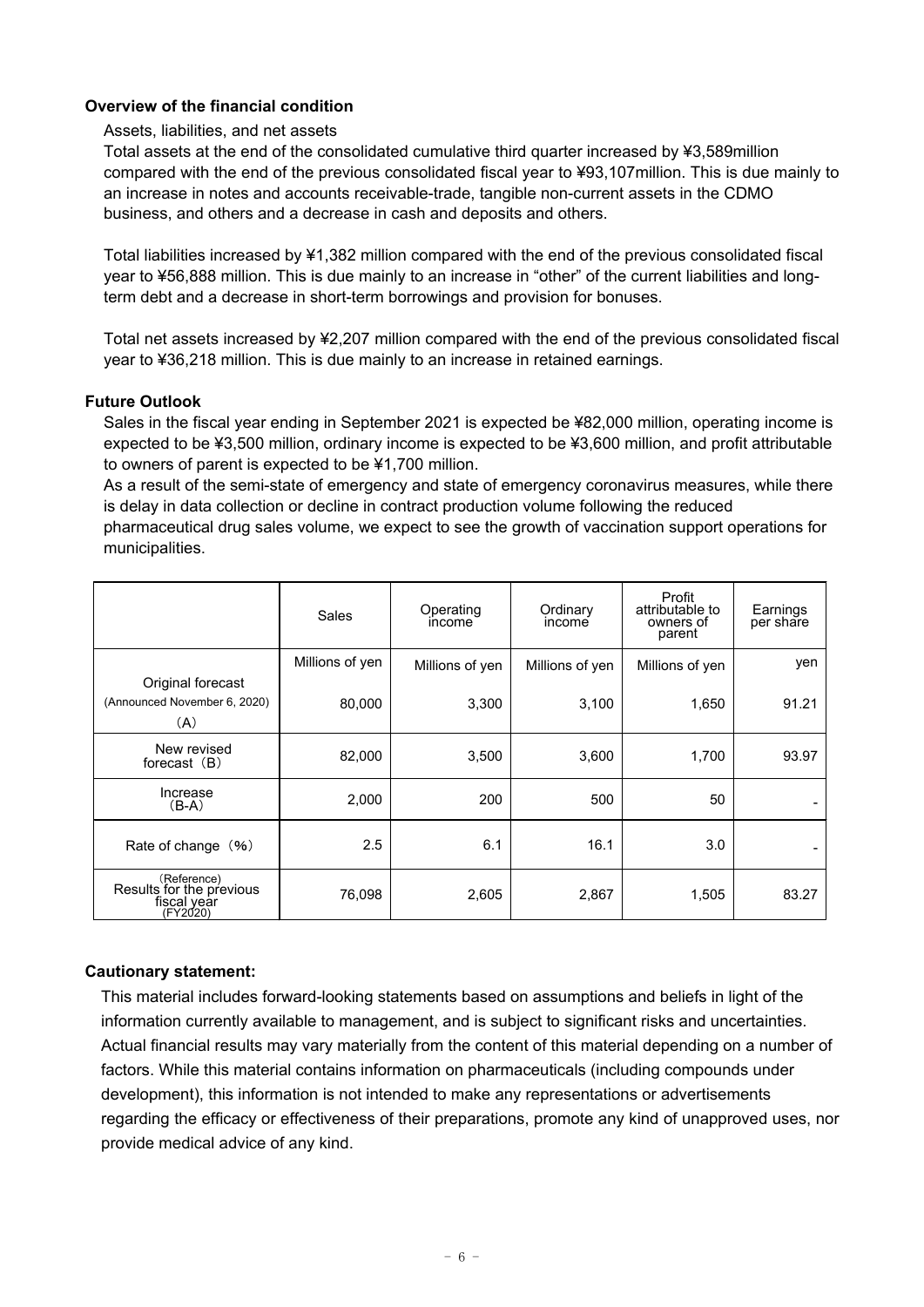### **Overview of the financial condition**

#### Assets, liabilities, and net assets

Total assets at the end of the consolidated cumulative third quarter increased by ¥3,589million compared with the end of the previous consolidated fiscal year to ¥93,107million. This is due mainly to an increase in notes and accounts receivable-trade, tangible non-current assets in the CDMO business, and others and a decrease in cash and deposits and others.

Total liabilities increased by ¥1,382 million compared with the end of the previous consolidated fiscal year to ¥56,888 million. This is due mainly to an increase in "other" of the current liabilities and longterm debt and a decrease in short-term borrowings and provision for bonuses.

Total net assets increased by ¥2,207 million compared with the end of the previous consolidated fiscal year to ¥36,218 million. This is due mainly to an increase in retained earnings.

#### **Future Outlook**

Sales in the fiscal year ending in September 2021 is expected be ¥82,000 million, operating income is expected to be ¥3,500 million, ordinary income is expected to be ¥3,600 million, and profit attributable to owners of parent is expected to be ¥1,700 million.

As a result of the semi-state of emergency and state of emergency coronavirus measures, while there is delay in data collection or decline in contract production volume following the reduced

pharmaceutical drug sales volume, we expect to see the growth of vaccination support operations for municipalities.

|                                                                    | Sales           | Operating<br>income | Ordinary<br>income | Profit<br>attributable to<br>owners of<br>parent | Earnings<br>per share |
|--------------------------------------------------------------------|-----------------|---------------------|--------------------|--------------------------------------------------|-----------------------|
|                                                                    | Millions of yen | Millions of yen     | Millions of yen    | Millions of yen                                  | yen                   |
| Original forecast<br>(Announced November 6, 2020)<br>(A)           | 80,000          | 3,300               | 3,100              | 1,650                                            | 91.21                 |
| New revised<br>forecast (B)                                        | 82,000          | 3,500               | 3,600              | 1,700                                            | 93.97                 |
| Increase<br>$(B-A)$                                                | 2,000           | 200                 | 500                | 50                                               |                       |
| Rate of change (%)                                                 | 2.5             | 6.1                 | 16.1               | 3.0                                              |                       |
| (Reference)<br>Results for the previous<br>fiscal year<br>(FY2020) | 76,098          | 2,605               | 2,867              | 1,505                                            | 83.27                 |

### **Cautionary statement:**

This material includes forward-looking statements based on assumptions and beliefs in light of the information currently available to management, and is subject to significant risks and uncertainties. Actual financial results may vary materially from the content of this material depending on a number of factors. While this material contains information on pharmaceuticals (including compounds under development), this information is not intended to make any representations or advertisements regarding the efficacy or effectiveness of their preparations, promote any kind of unapproved uses, nor provide medical advice of any kind.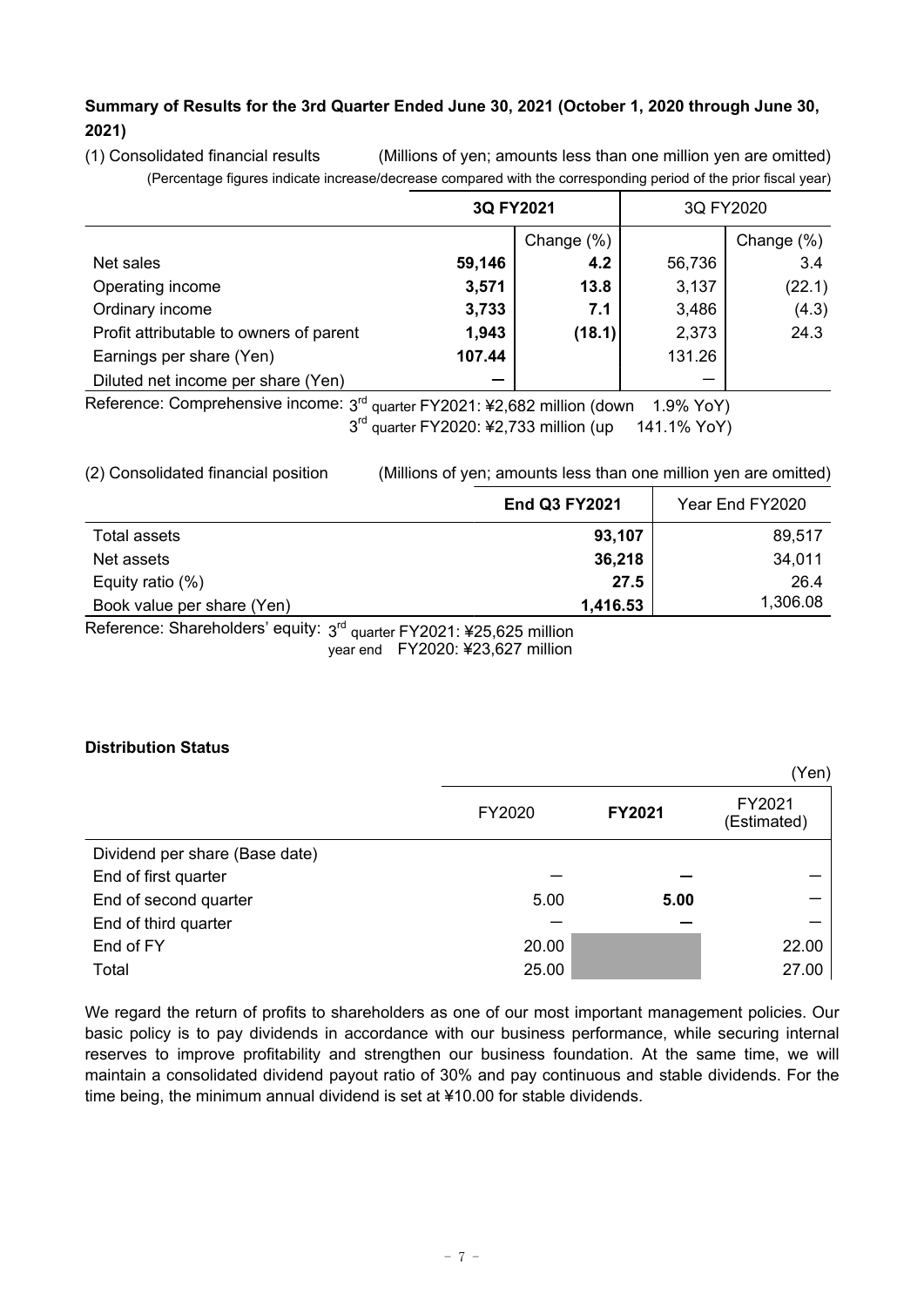## **Summary of Results for the 3rd Quarter Ended June 30, 2021 (October 1, 2020 through June 30, 2021)**

(1) Consolidated financial results (Millions of yen; amounts less than one million yen are omitted) (Percentage figures indicate increase/decrease compared with the corresponding period of the prior fiscal year)

|                                         | 3Q FY2021 |                                                | 3Q FY2020 |            |
|-----------------------------------------|-----------|------------------------------------------------|-----------|------------|
|                                         |           | Change (%)                                     |           | Change (%) |
| Net sales                               | 59,146    | 4.2                                            | 56,736    | 3.4        |
| Operating income                        | 3,571     | 13.8                                           | 3,137     | (22.1)     |
| Ordinary income                         | 3,733     | 7.1                                            | 3,486     | (4.3)      |
| Profit attributable to owners of parent | 1,943     | (18.1)                                         | 2,373     | 24.3       |
| Earnings per share (Yen)                | 107.44    |                                                | 131.26    |            |
| Diluted net income per share (Yen)      |           |                                                |           |            |
| Reference: Comprehensive income: 3rd    |           | quarter FY2021: ¥2,682 million (down 1.9% YoY) |           |            |

 $\degree$  quarter FY2021: ¥2,682 million (down  $\degree$  1.9% YoY) 3<sup>rd</sup> quarter FY2020: ¥2,733 million (up 141.1% YoY)

(2) Consolidated financial position (Millions of yen; amounts less than one million yen are omitted)

|                                                                      | <b>End Q3 FY2021</b> | Year End FY2020 |
|----------------------------------------------------------------------|----------------------|-----------------|
| Total assets                                                         | 93,107               | 89,517          |
| Net assets                                                           | 36,218               | 34,011          |
| Equity ratio $(\%)$                                                  | 27.5                 | 26.4            |
| Book value per share (Yen)                                           | 1,416.53             | 1,306.08        |
| Reference: Shareholders' equity: 3rd quarter FY2021: ¥25,625 million |                      |                 |

year end FY2020: ¥23,627 million

## **Distribution Status**

|                                |        |        | (Yen)                 |
|--------------------------------|--------|--------|-----------------------|
|                                | FY2020 | FY2021 | FY2021<br>(Estimated) |
| Dividend per share (Base date) |        |        |                       |
| End of first quarter           |        |        |                       |
| End of second quarter          | 5.00   | 5.00   |                       |
| End of third quarter           |        |        |                       |
| End of FY                      | 20.00  |        | 22.00                 |
| Total                          | 25.00  |        | 27.00                 |

We regard the return of profits to shareholders as one of our most important management policies. Our basic policy is to pay dividends in accordance with our business performance, while securing internal reserves to improve profitability and strengthen our business foundation. At the same time, we will maintain a consolidated dividend payout ratio of 30% and pay continuous and stable dividends. For the time being, the minimum annual dividend is set at ¥10.00 for stable dividends.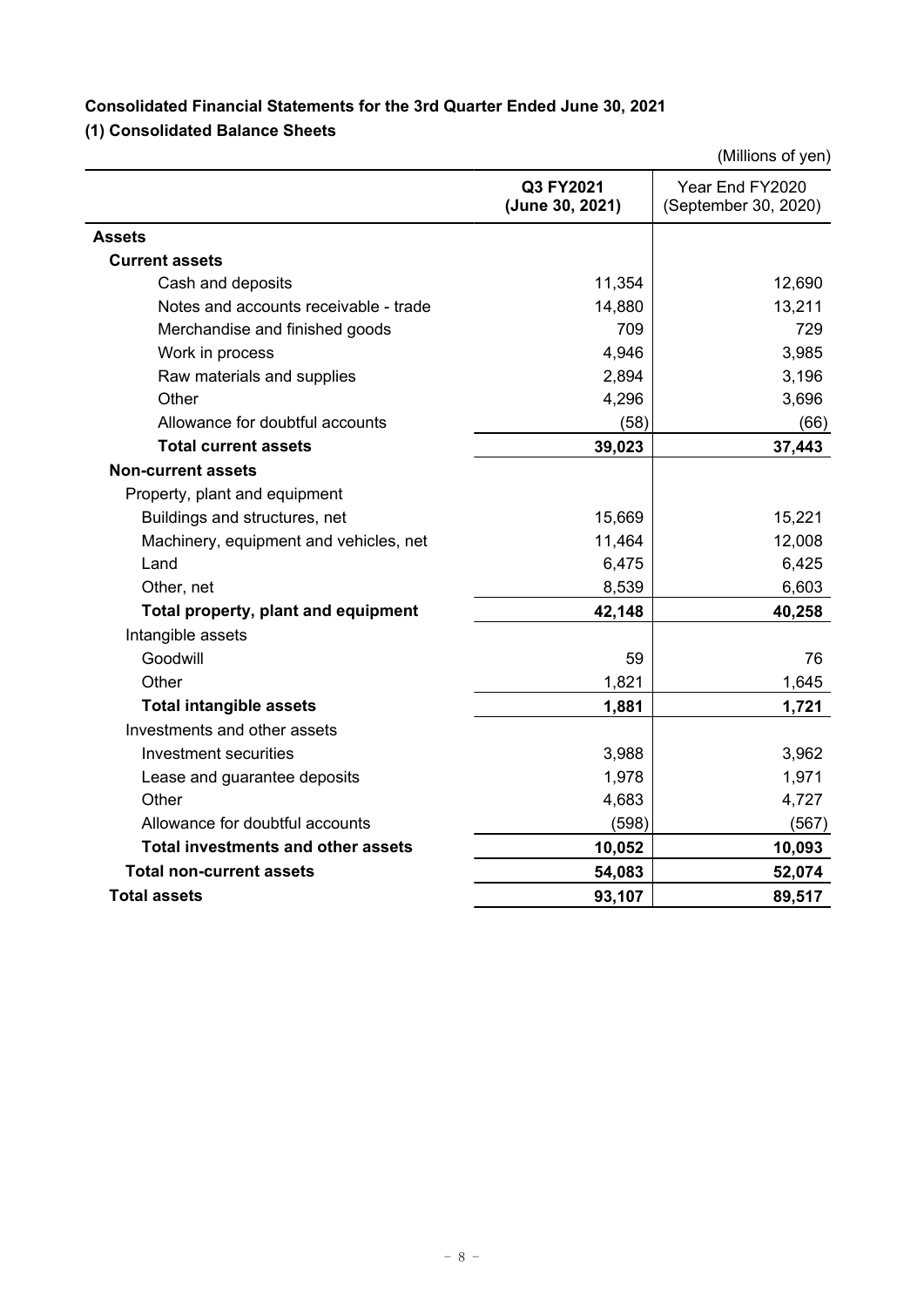# **Consolidated Financial Statements for the 3rd Quarter Ended June 30, 2021 (1) Consolidated Balance Sheets**

|                                           |                              | (Millions of yen)                       |
|-------------------------------------------|------------------------------|-----------------------------------------|
|                                           | Q3 FY2021<br>(June 30, 2021) | Year End FY2020<br>(September 30, 2020) |
| <b>Assets</b>                             |                              |                                         |
| <b>Current assets</b>                     |                              |                                         |
| Cash and deposits                         | 11,354                       | 12,690                                  |
| Notes and accounts receivable - trade     | 14,880                       | 13,211                                  |
| Merchandise and finished goods            | 709                          | 729                                     |
| Work in process                           | 4,946                        | 3,985                                   |
| Raw materials and supplies                | 2,894                        | 3,196                                   |
| Other                                     | 4,296                        | 3,696                                   |
| Allowance for doubtful accounts           | (58)                         | (66)                                    |
| <b>Total current assets</b>               | 39,023                       | 37,443                                  |
| <b>Non-current assets</b>                 |                              |                                         |
| Property, plant and equipment             |                              |                                         |
| Buildings and structures, net             | 15,669                       | 15,221                                  |
| Machinery, equipment and vehicles, net    | 11,464                       | 12,008                                  |
| Land                                      | 6,475                        | 6,425                                   |
| Other, net                                | 8,539                        | 6,603                                   |
| Total property, plant and equipment       | 42,148                       | 40,258                                  |
| Intangible assets                         |                              |                                         |
| Goodwill                                  | 59                           | 76                                      |
| Other                                     | 1,821                        | 1,645                                   |
| <b>Total intangible assets</b>            | 1,881                        | 1,721                                   |
| Investments and other assets              |                              |                                         |
| Investment securities                     | 3,988                        | 3,962                                   |
| Lease and guarantee deposits              | 1,978                        | 1,971                                   |
| Other                                     | 4,683                        | 4,727                                   |
| Allowance for doubtful accounts           | (598)                        | (567)                                   |
| <b>Total investments and other assets</b> | 10,052                       | 10,093                                  |
| <b>Total non-current assets</b>           | 54,083                       | 52,074                                  |
| Total assets                              | 93,107                       | 89,517                                  |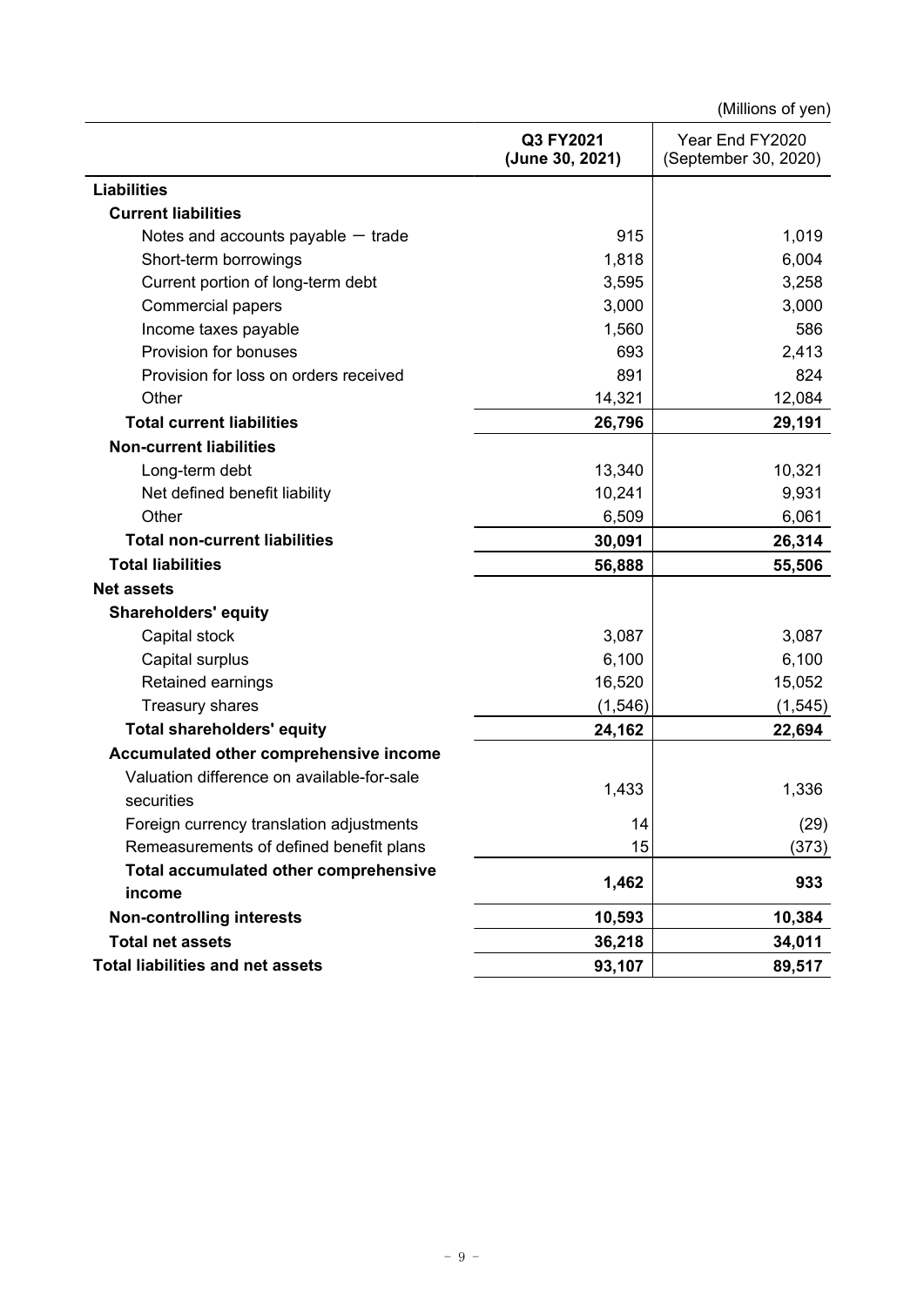(Millions of yen)

|                                                          | Q3 FY2021<br>(June 30, 2021) | Year End FY2020<br>(September 30, 2020) |
|----------------------------------------------------------|------------------------------|-----------------------------------------|
| <b>Liabilities</b>                                       |                              |                                         |
| <b>Current liabilities</b>                               |                              |                                         |
| Notes and accounts payable $-$ trade                     | 915                          | 1,019                                   |
| Short-term borrowings                                    | 1,818                        | 6,004                                   |
| Current portion of long-term debt                        | 3,595                        | 3,258                                   |
| <b>Commercial papers</b>                                 | 3,000                        | 3,000                                   |
| Income taxes payable                                     | 1,560                        | 586                                     |
| Provision for bonuses                                    | 693                          | 2,413                                   |
| Provision for loss on orders received                    | 891                          | 824                                     |
| Other                                                    | 14,321                       | 12,084                                  |
| <b>Total current liabilities</b>                         | 26,796                       | 29,191                                  |
| <b>Non-current liabilities</b>                           |                              |                                         |
| Long-term debt                                           | 13,340                       | 10,321                                  |
| Net defined benefit liability                            | 10,241                       | 9,931                                   |
| Other                                                    | 6,509                        | 6,061                                   |
| <b>Total non-current liabilities</b>                     | 30,091                       | 26,314                                  |
| <b>Total liabilities</b>                                 | 56,888                       | 55,506                                  |
| <b>Net assets</b>                                        |                              |                                         |
| <b>Shareholders' equity</b>                              |                              |                                         |
| Capital stock                                            | 3,087                        | 3,087                                   |
| Capital surplus                                          | 6,100                        | 6,100                                   |
| Retained earnings                                        | 16,520                       | 15,052                                  |
| <b>Treasury shares</b>                                   | (1, 546)                     | (1, 545)                                |
| <b>Total shareholders' equity</b>                        | 24,162                       | 22,694                                  |
| Accumulated other comprehensive income                   |                              |                                         |
| Valuation difference on available-for-sale<br>securities | 1,433                        | 1,336                                   |
| Foreign currency translation adjustments                 | 14                           | (29)                                    |
| Remeasurements of defined benefit plans                  | 15                           | (373)                                   |
| Total accumulated other comprehensive                    | 1,462                        | 933                                     |
| income                                                   |                              |                                         |
| <b>Non-controlling interests</b>                         | 10,593                       | 10,384                                  |
| <b>Total net assets</b>                                  | 36,218                       | 34,011                                  |
| <b>Total liabilities and net assets</b>                  | 93,107                       | 89,517                                  |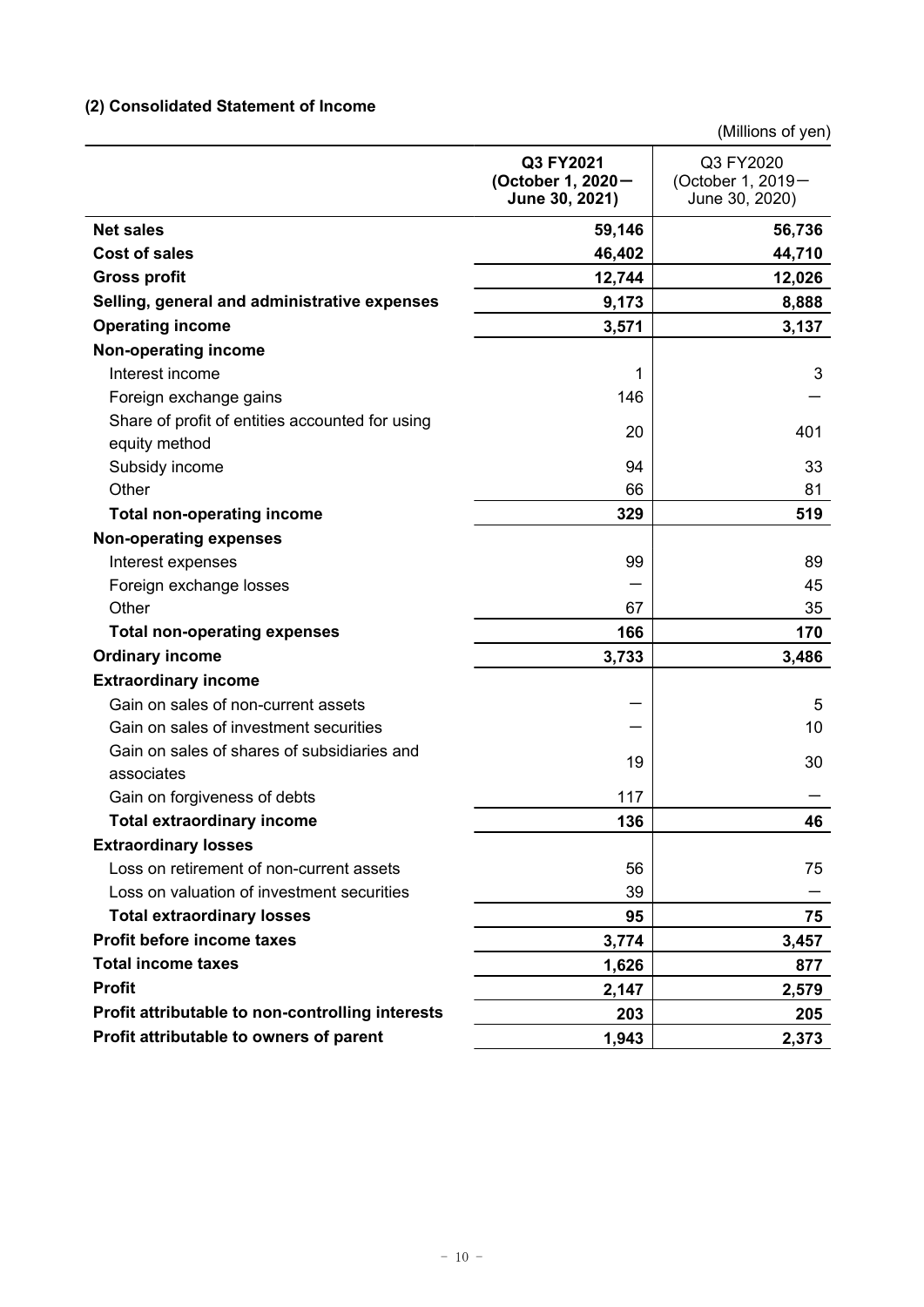# **(2) Consolidated Statement of Income**

| (Millions of yen) |  |
|-------------------|--|
|-------------------|--|

|                                                  | Q3 FY2021<br>(October 1, 2020-<br>June 30, 2021) | Q3 FY2020<br>(October 1, 2019-<br>June 30, 2020) |
|--------------------------------------------------|--------------------------------------------------|--------------------------------------------------|
| <b>Net sales</b>                                 | 59,146                                           | 56,736                                           |
| <b>Cost of sales</b>                             | 46,402                                           | 44,710                                           |
| <b>Gross profit</b>                              | 12,744                                           | 12,026                                           |
| Selling, general and administrative expenses     | 9,173                                            | 8,888                                            |
| <b>Operating income</b>                          | 3,571                                            | 3,137                                            |
| Non-operating income                             |                                                  |                                                  |
| Interest income                                  | 1                                                | 3                                                |
| Foreign exchange gains                           | 146                                              |                                                  |
| Share of profit of entities accounted for using  | 20                                               | 401                                              |
| equity method                                    |                                                  |                                                  |
| Subsidy income                                   | 94                                               | 33                                               |
| Other                                            | 66                                               | 81                                               |
| <b>Total non-operating income</b>                | 329                                              | 519                                              |
| <b>Non-operating expenses</b>                    |                                                  |                                                  |
| Interest expenses                                | 99                                               | 89                                               |
| Foreign exchange losses                          |                                                  | 45                                               |
| Other                                            | 67                                               | 35                                               |
| <b>Total non-operating expenses</b>              | 166                                              | 170                                              |
| <b>Ordinary income</b>                           | 3,733                                            | 3,486                                            |
| <b>Extraordinary income</b>                      |                                                  |                                                  |
| Gain on sales of non-current assets              |                                                  | 5                                                |
| Gain on sales of investment securities           |                                                  | 10                                               |
| Gain on sales of shares of subsidiaries and      | 19                                               | 30                                               |
| associates                                       |                                                  |                                                  |
| Gain on forgiveness of debts                     | 117                                              |                                                  |
| <b>Total extraordinary income</b>                | 136                                              | 46                                               |
| <b>Extraordinary losses</b>                      |                                                  |                                                  |
| Loss on retirement of non-current assets         | 56                                               | 75                                               |
| Loss on valuation of investment securities       | 39                                               |                                                  |
| <b>Total extraordinary losses</b>                | 95                                               | 75                                               |
| Profit before income taxes                       | 3,774                                            | 3,457                                            |
| <b>Total income taxes</b>                        | 1,626                                            | 877                                              |
| <b>Profit</b>                                    | 2,147                                            | 2,579                                            |
| Profit attributable to non-controlling interests | 203                                              | 205                                              |
| Profit attributable to owners of parent          | 1,943                                            | 2,373                                            |